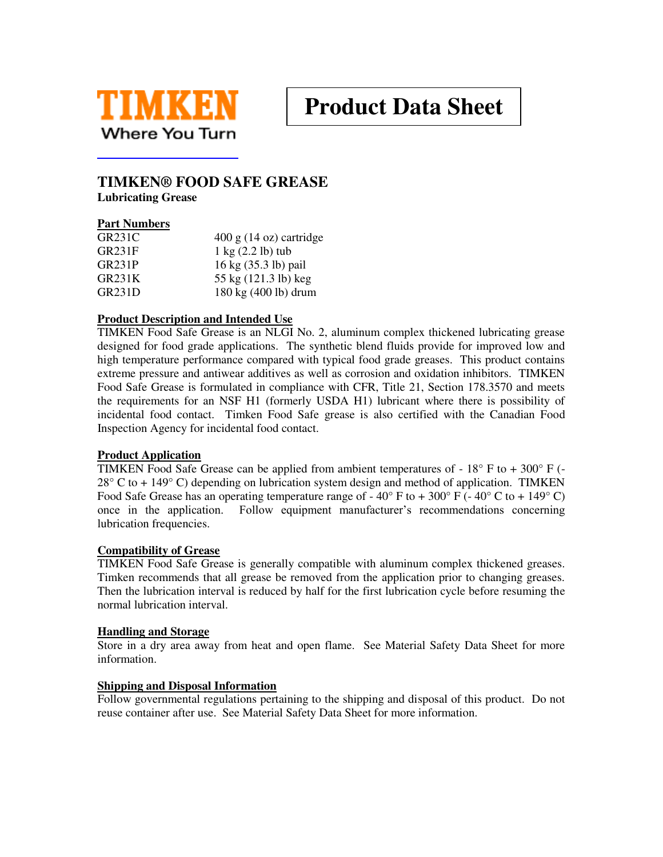

# **Product Data Sheet**

### **TIMKEN® FOOD SAFE GREASE**

**Lubricating Grease** 

#### **Part Numbers**

| GR231C | $400 \text{ g}$ (14 oz) cartridge     |
|--------|---------------------------------------|
| GR231F | $1 \text{ kg}$ $(2.2 \text{ lb})$ tub |
| GR231P | 16 kg (35.3 lb) pail                  |
| GR231K | 55 kg (121.3 lb) keg                  |
| GR231D | 180 kg (400 lb) drum                  |

#### **Product Description and Intended Use**

TIMKEN Food Safe Grease is an NLGI No. 2, aluminum complex thickened lubricating grease designed for food grade applications. The synthetic blend fluids provide for improved low and high temperature performance compared with typical food grade greases. This product contains extreme pressure and antiwear additives as well as corrosion and oxidation inhibitors. TIMKEN Food Safe Grease is formulated in compliance with CFR, Title 21, Section 178.3570 and meets the requirements for an NSF H1 (formerly USDA H1) lubricant where there is possibility of incidental food contact. Timken Food Safe grease is also certified with the Canadian Food Inspection Agency for incidental food contact.

#### **Product Application**

TIMKEN Food Safe Grease can be applied from ambient temperatures of -  $18^{\circ}$  F to +  $300^{\circ}$  F (- $28^{\circ}$  C to + 149 $^{\circ}$  C) depending on lubrication system design and method of application. TIMKEN Food Safe Grease has an operating temperature range of  $-40^{\circ}$  F to  $+300^{\circ}$  F ( $-40^{\circ}$  C to  $+149^{\circ}$  C) once in the application. Follow equipment manufacturer's recommendations concerning lubrication frequencies.

#### **Compatibility of Grease**

TIMKEN Food Safe Grease is generally compatible with aluminum complex thickened greases. Timken recommends that all grease be removed from the application prior to changing greases. Then the lubrication interval is reduced by half for the first lubrication cycle before resuming the normal lubrication interval.

#### **Handling and Storage**

Store in a dry area away from heat and open flame. See Material Safety Data Sheet for more information.

#### **Shipping and Disposal Information**

Follow governmental regulations pertaining to the shipping and disposal of this product. Do not reuse container after use. See Material Safety Data Sheet for more information.